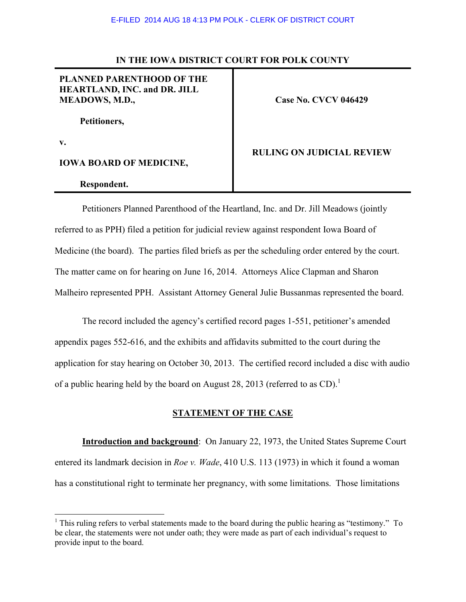## **IN THE IOWA DISTRICT COURT FOR POLK COUNTY**

# **PLANNED PARENTHOOD OF THE HEARTLAND, INC. and DR. JILL MEADOWS, M.D.,**

**Case No. CVCV 046429** 

 **Petitioners,** 

**v.** 

l

**IOWA BOARD OF MEDICINE,** 

### **Respondent.**

### **RULING ON JUDICIAL REVIEW**

 Petitioners Planned Parenthood of the Heartland, Inc. and Dr. Jill Meadows (jointly referred to as PPH) filed a petition for judicial review against respondent Iowa Board of Medicine (the board). The parties filed briefs as per the scheduling order entered by the court. The matter came on for hearing on June 16, 2014. Attorneys Alice Clapman and Sharon Malheiro represented PPH. Assistant Attorney General Julie Bussanmas represented the board.

 The record included the agency's certified record pages 1-551, petitioner's amended appendix pages 552-616, and the exhibits and affidavits submitted to the court during the application for stay hearing on October 30, 2013. The certified record included a disc with audio of a public hearing held by the board on August 28, 2013 (referred to as CD).<sup>1</sup>

## **STATEMENT OF THE CASE**

**Introduction and background**: On January 22, 1973, the United States Supreme Court entered its landmark decision in *Roe v. Wade*, 410 U.S. 113 (1973) in which it found a woman has a constitutional right to terminate her pregnancy, with some limitations. Those limitations

<sup>&</sup>lt;sup>1</sup> This ruling refers to verbal statements made to the board during the public hearing as "testimony." To be clear, the statements were not under oath; they were made as part of each individual's request to provide input to the board.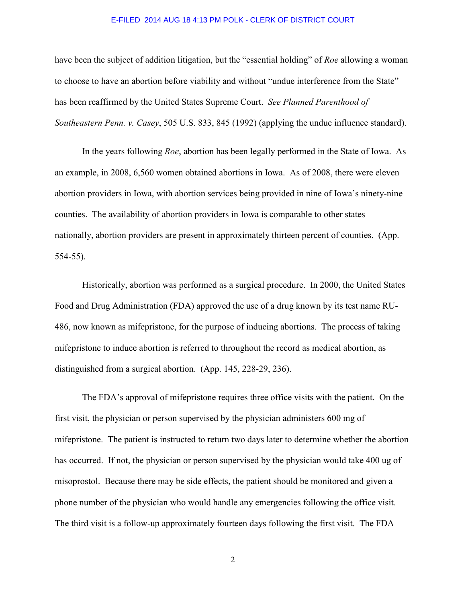have been the subject of addition litigation, but the "essential holding" of *Roe* allowing a woman to choose to have an abortion before viability and without "undue interference from the State" has been reaffirmed by the United States Supreme Court. *See Planned Parenthood of Southeastern Penn. v. Casey*, 505 U.S. 833, 845 (1992) (applying the undue influence standard).

In the years following *Roe*, abortion has been legally performed in the State of Iowa. As an example, in 2008, 6,560 women obtained abortions in Iowa. As of 2008, there were eleven abortion providers in Iowa, with abortion services being provided in nine of Iowa's ninety-nine counties. The availability of abortion providers in Iowa is comparable to other states – nationally, abortion providers are present in approximately thirteen percent of counties. (App. 554-55).

 Historically, abortion was performed as a surgical procedure. In 2000, the United States Food and Drug Administration (FDA) approved the use of a drug known by its test name RU-486, now known as mifepristone, for the purpose of inducing abortions. The process of taking mifepristone to induce abortion is referred to throughout the record as medical abortion, as distinguished from a surgical abortion. (App. 145, 228-29, 236).

 The FDA's approval of mifepristone requires three office visits with the patient. On the first visit, the physician or person supervised by the physician administers 600 mg of mifepristone. The patient is instructed to return two days later to determine whether the abortion has occurred. If not, the physician or person supervised by the physician would take 400 ug of misoprostol. Because there may be side effects, the patient should be monitored and given a phone number of the physician who would handle any emergencies following the office visit. The third visit is a follow-up approximately fourteen days following the first visit. The FDA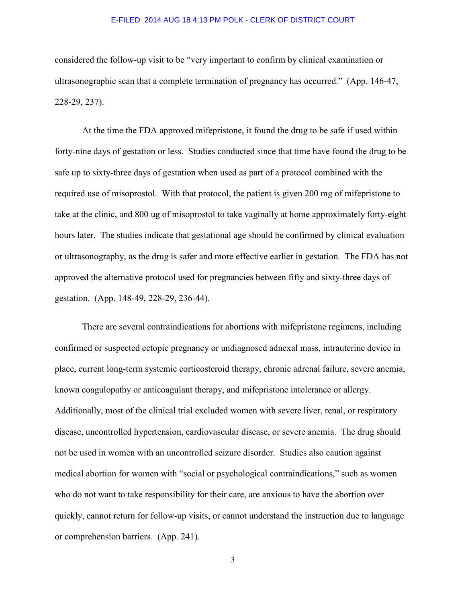considered the follow-up visit to be "very important to confirm by clinical examination or ultrasonographic scan that a complete termination of pregnancy has occurred." (App. 146-47, 228-29, 237).

 At the time the FDA approved mifepristone, it found the drug to be safe if used within forty-nine days of gestation or less. Studies conducted since that time have found the drug to be safe up to sixty-three days of gestation when used as part of a protocol combined with the required use of misoprostol. With that protocol, the patient is given 200 mg of mifepristone to take at the clinic, and 800 ug of misoprostol to take vaginally at home approximately forty-eight hours later. The studies indicate that gestational age should be confirmed by clinical evaluation or ultrasonography, as the drug is safer and more effective earlier in gestation. The FDA has not approved the alternative protocol used for pregnancies between fifty and sixty-three days of gestation. (App. 148-49, 228-29, 236-44).

 There are several contraindications for abortions with mifepristone regimens, including confirmed or suspected ectopic pregnancy or undiagnosed adnexal mass, intrauterine device in place, current long-term systemic corticosteroid therapy, chronic adrenal failure, severe anemia, known coagulopathy or anticoagulant therapy, and mifepristone intolerance or allergy. Additionally, most of the clinical trial excluded women with severe liver, renal, or respiratory disease, uncontrolled hypertension, cardiovascular disease, or severe anemia. The drug should not be used in women with an uncontrolled seizure disorder. Studies also caution against medical abortion for women with "social or psychological contraindications," such as women who do not want to take responsibility for their care, are anxious to have the abortion over quickly, cannot return for follow-up visits, or cannot understand the instruction due to language or comprehension barriers. (App. 241).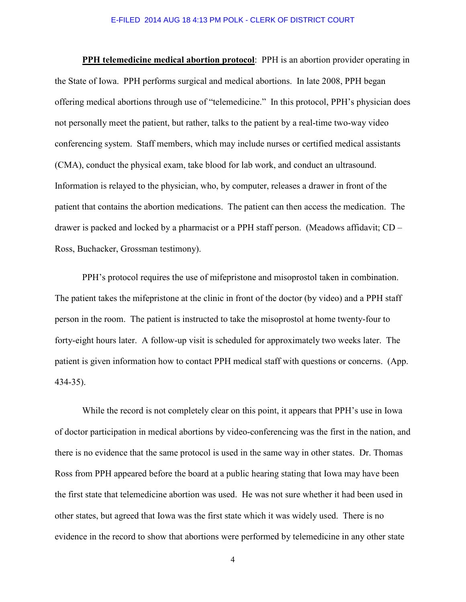**PPH telemedicine medical abortion protocol**: PPH is an abortion provider operating in the State of Iowa. PPH performs surgical and medical abortions. In late 2008, PPH began offering medical abortions through use of "telemedicine." In this protocol, PPH's physician does not personally meet the patient, but rather, talks to the patient by a real-time two-way video conferencing system. Staff members, which may include nurses or certified medical assistants (CMA), conduct the physical exam, take blood for lab work, and conduct an ultrasound. Information is relayed to the physician, who, by computer, releases a drawer in front of the patient that contains the abortion medications. The patient can then access the medication. The drawer is packed and locked by a pharmacist or a PPH staff person. (Meadows affidavit; CD – Ross, Buchacker, Grossman testimony).

PPH's protocol requires the use of mifepristone and misoprostol taken in combination. The patient takes the mifepristone at the clinic in front of the doctor (by video) and a PPH staff person in the room. The patient is instructed to take the misoprostol at home twenty-four to forty-eight hours later. A follow-up visit is scheduled for approximately two weeks later. The patient is given information how to contact PPH medical staff with questions or concerns. (App. 434-35).

While the record is not completely clear on this point, it appears that PPH's use in Iowa of doctor participation in medical abortions by video-conferencing was the first in the nation, and there is no evidence that the same protocol is used in the same way in other states. Dr. Thomas Ross from PPH appeared before the board at a public hearing stating that Iowa may have been the first state that telemedicine abortion was used. He was not sure whether it had been used in other states, but agreed that Iowa was the first state which it was widely used. There is no evidence in the record to show that abortions were performed by telemedicine in any other state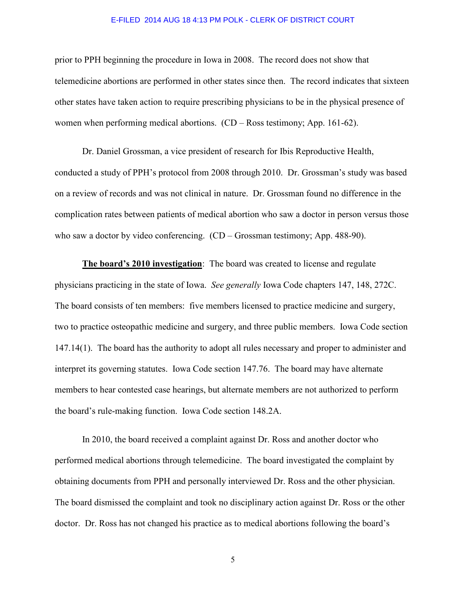prior to PPH beginning the procedure in Iowa in 2008. The record does not show that telemedicine abortions are performed in other states since then. The record indicates that sixteen other states have taken action to require prescribing physicians to be in the physical presence of women when performing medical abortions. (CD – Ross testimony; App. 161-62).

Dr. Daniel Grossman, a vice president of research for Ibis Reproductive Health, conducted a study of PPH's protocol from 2008 through 2010. Dr. Grossman's study was based on a review of records and was not clinical in nature. Dr. Grossman found no difference in the complication rates between patients of medical abortion who saw a doctor in person versus those who saw a doctor by video conferencing. (CD – Grossman testimony; App. 488-90).

**The board's 2010 investigation**: The board was created to license and regulate physicians practicing in the state of Iowa. *See generally* Iowa Code chapters 147, 148, 272C. The board consists of ten members: five members licensed to practice medicine and surgery, two to practice osteopathic medicine and surgery, and three public members. Iowa Code section 147.14(1). The board has the authority to adopt all rules necessary and proper to administer and interpret its governing statutes. Iowa Code section 147.76. The board may have alternate members to hear contested case hearings, but alternate members are not authorized to perform the board's rule-making function. Iowa Code section 148.2A.

In 2010, the board received a complaint against Dr. Ross and another doctor who performed medical abortions through telemedicine. The board investigated the complaint by obtaining documents from PPH and personally interviewed Dr. Ross and the other physician. The board dismissed the complaint and took no disciplinary action against Dr. Ross or the other doctor. Dr. Ross has not changed his practice as to medical abortions following the board's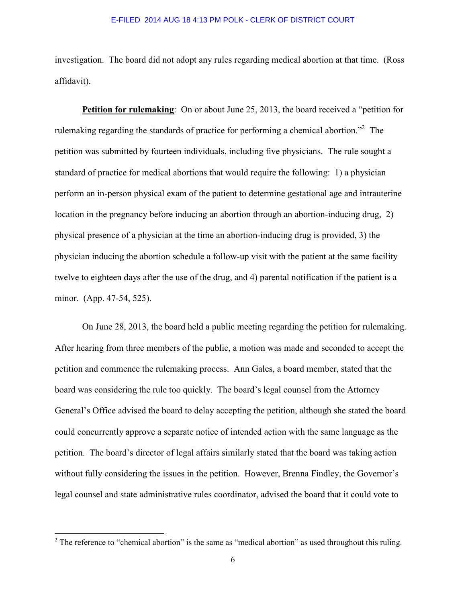investigation. The board did not adopt any rules regarding medical abortion at that time. (Ross affidavit).

**Petition for rulemaking**: On or about June 25, 2013, the board received a "petition for rulemaking regarding the standards of practice for performing a chemical abortion."<sup>2</sup> The petition was submitted by fourteen individuals, including five physicians. The rule sought a standard of practice for medical abortions that would require the following: 1) a physician perform an in-person physical exam of the patient to determine gestational age and intrauterine location in the pregnancy before inducing an abortion through an abortion-inducing drug, 2) physical presence of a physician at the time an abortion-inducing drug is provided, 3) the physician inducing the abortion schedule a follow-up visit with the patient at the same facility twelve to eighteen days after the use of the drug, and 4) parental notification if the patient is a minor. (App. 47-54, 525).

On June 28, 2013, the board held a public meeting regarding the petition for rulemaking. After hearing from three members of the public, a motion was made and seconded to accept the petition and commence the rulemaking process. Ann Gales, a board member, stated that the board was considering the rule too quickly. The board's legal counsel from the Attorney General's Office advised the board to delay accepting the petition, although she stated the board could concurrently approve a separate notice of intended action with the same language as the petition. The board's director of legal affairs similarly stated that the board was taking action without fully considering the issues in the petition. However, Brenna Findley, the Governor's legal counsel and state administrative rules coordinator, advised the board that it could vote to

l

<sup>&</sup>lt;sup>2</sup> The reference to "chemical abortion" is the same as "medical abortion" as used throughout this ruling.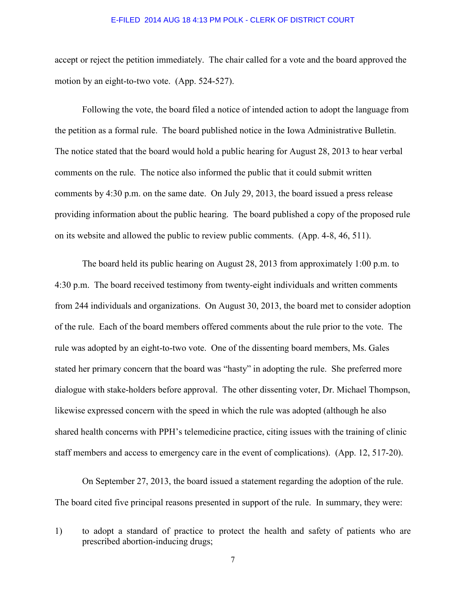accept or reject the petition immediately. The chair called for a vote and the board approved the motion by an eight-to-two vote. (App. 524-527).

Following the vote, the board filed a notice of intended action to adopt the language from the petition as a formal rule. The board published notice in the Iowa Administrative Bulletin. The notice stated that the board would hold a public hearing for August 28, 2013 to hear verbal comments on the rule. The notice also informed the public that it could submit written comments by 4:30 p.m. on the same date. On July 29, 2013, the board issued a press release providing information about the public hearing. The board published a copy of the proposed rule on its website and allowed the public to review public comments. (App. 4-8, 46, 511).

The board held its public hearing on August 28, 2013 from approximately 1:00 p.m. to 4:30 p.m. The board received testimony from twenty-eight individuals and written comments from 244 individuals and organizations. On August 30, 2013, the board met to consider adoption of the rule. Each of the board members offered comments about the rule prior to the vote. The rule was adopted by an eight-to-two vote. One of the dissenting board members, Ms. Gales stated her primary concern that the board was "hasty" in adopting the rule. She preferred more dialogue with stake-holders before approval. The other dissenting voter, Dr. Michael Thompson, likewise expressed concern with the speed in which the rule was adopted (although he also shared health concerns with PPH's telemedicine practice, citing issues with the training of clinic staff members and access to emergency care in the event of complications). (App. 12, 517-20).

On September 27, 2013, the board issued a statement regarding the adoption of the rule. The board cited five principal reasons presented in support of the rule. In summary, they were:

<sup>1)</sup> to adopt a standard of practice to protect the health and safety of patients who are prescribed abortion-inducing drugs;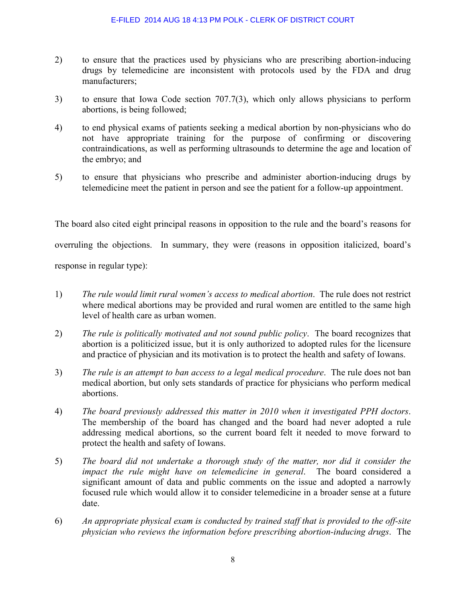- 2) to ensure that the practices used by physicians who are prescribing abortion-inducing drugs by telemedicine are inconsistent with protocols used by the FDA and drug manufacturers;
- 3) to ensure that Iowa Code section 707.7(3), which only allows physicians to perform abortions, is being followed;
- 4) to end physical exams of patients seeking a medical abortion by non-physicians who do not have appropriate training for the purpose of confirming or discovering contraindications, as well as performing ultrasounds to determine the age and location of the embryo; and
- 5) to ensure that physicians who prescribe and administer abortion-inducing drugs by telemedicine meet the patient in person and see the patient for a follow-up appointment.

The board also cited eight principal reasons in opposition to the rule and the board's reasons for overruling the objections. In summary, they were (reasons in opposition italicized, board's

response in regular type):

- 1) *The rule would limit rural women's access to medical abortion*. The rule does not restrict where medical abortions may be provided and rural women are entitled to the same high level of health care as urban women.
- 2) *The rule is politically motivated and not sound public policy*. The board recognizes that abortion is a politicized issue, but it is only authorized to adopted rules for the licensure and practice of physician and its motivation is to protect the health and safety of Iowans.
- 3) *The rule is an attempt to ban access to a legal medical procedure*. The rule does not ban medical abortion, but only sets standards of practice for physicians who perform medical abortions.
- 4) *The board previously addressed this matter in 2010 when it investigated PPH doctors*. The membership of the board has changed and the board had never adopted a rule addressing medical abortions, so the current board felt it needed to move forward to protect the health and safety of Iowans.
- 5) *The board did not undertake a thorough study of the matter, nor did it consider the impact the rule might have on telemedicine in general*. The board considered a significant amount of data and public comments on the issue and adopted a narrowly focused rule which would allow it to consider telemedicine in a broader sense at a future date.
- 6) *An appropriate physical exam is conducted by trained staff that is provided to the off-site physician who reviews the information before prescribing abortion-inducing drugs*. The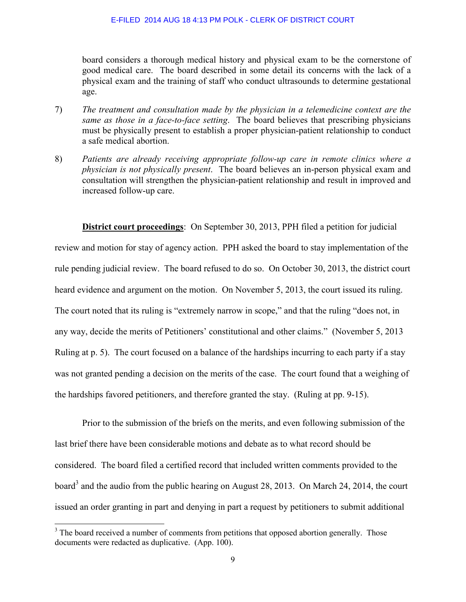board considers a thorough medical history and physical exam to be the cornerstone of good medical care. The board described in some detail its concerns with the lack of a physical exam and the training of staff who conduct ultrasounds to determine gestational age.

- 7) *The treatment and consultation made by the physician in a telemedicine context are the same as those in a face-to-face setting*. The board believes that prescribing physicians must be physically present to establish a proper physician-patient relationship to conduct a safe medical abortion.
- 8) *Patients are already receiving appropriate follow-up care in remote clinics where a physician is not physically present*. The board believes an in-person physical exam and consultation will strengthen the physician-patient relationship and result in improved and increased follow-up care.

**District court proceedings**: On September 30, 2013, PPH filed a petition for judicial review and motion for stay of agency action. PPH asked the board to stay implementation of the rule pending judicial review. The board refused to do so. On October 30, 2013, the district court heard evidence and argument on the motion. On November 5, 2013, the court issued its ruling. The court noted that its ruling is "extremely narrow in scope," and that the ruling "does not, in any way, decide the merits of Petitioners' constitutional and other claims." (November 5, 2013 Ruling at p. 5). The court focused on a balance of the hardships incurring to each party if a stay was not granted pending a decision on the merits of the case. The court found that a weighing of the hardships favored petitioners, and therefore granted the stay. (Ruling at pp. 9-15).

Prior to the submission of the briefs on the merits, and even following submission of the last brief there have been considerable motions and debate as to what record should be considered. The board filed a certified record that included written comments provided to the board<sup>3</sup> and the audio from the public hearing on August 28, 2013. On March 24, 2014, the court issued an order granting in part and denying in part a request by petitioners to submit additional

l

<sup>&</sup>lt;sup>3</sup> The board received a number of comments from petitions that opposed abortion generally. Those documents were redacted as duplicative. (App. 100).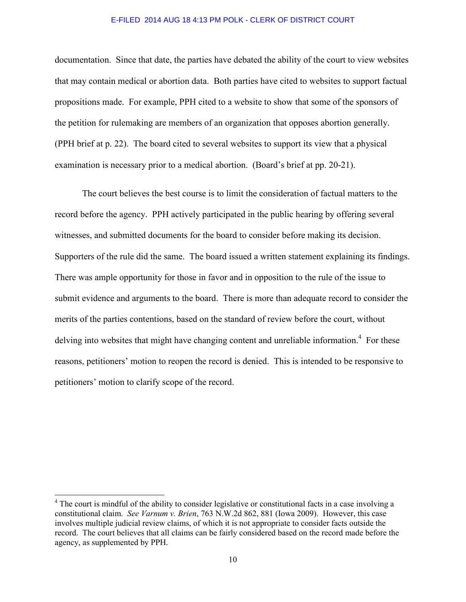documentation. Since that date, the parties have debated the ability of the court to view websites that may contain medical or abortion data. Both parties have cited to websites to support factual propositions made. For example, PPH cited to a website to show that some of the sponsors of the petition for rulemaking are members of an organization that opposes abortion generally. (PPH brief at p. 22). The board cited to several websites to support its view that a physical examination is necessary prior to a medical abortion. (Board's brief at pp. 20-21).

The court believes the best course is to limit the consideration of factual matters to the record before the agency. PPH actively participated in the public hearing by offering several witnesses, and submitted documents for the board to consider before making its decision. Supporters of the rule did the same. The board issued a written statement explaining its findings. There was ample opportunity for those in favor and in opposition to the rule of the issue to submit evidence and arguments to the board. There is more than adequate record to consider the merits of the parties contentions, based on the standard of review before the court, without delving into websites that might have changing content and unreliable information.<sup>4</sup> For these reasons, petitioners' motion to reopen the record is denied. This is intended to be responsive to petitioners' motion to clarify scope of the record.

l

<sup>&</sup>lt;sup>4</sup> The court is mindful of the ability to consider legislative or constitutional facts in a case involving a constitutional claim. *See Varnum v. Brien*, 763 N.W.2d 862, 881 (Iowa 2009). However, this case involves multiple judicial review claims, of which it is not appropriate to consider facts outside the record. The court believes that all claims can be fairly considered based on the record made before the agency, as supplemented by PPH.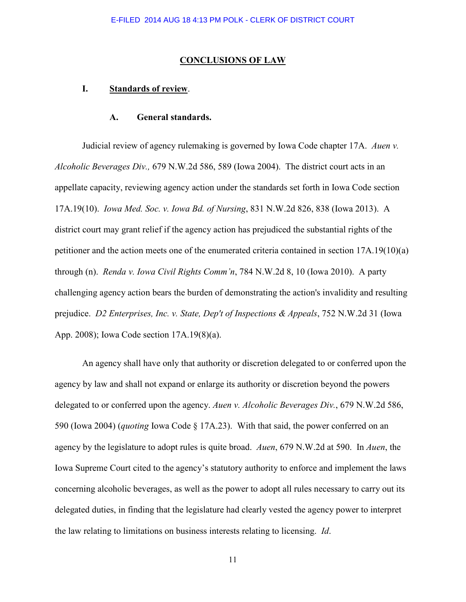### **CONCLUSIONS OF LAW**

# **I. Standards of review**.

## **A. General standards.**

Judicial review of agency rulemaking is governed by Iowa Code chapter 17A. *Auen v. Alcoholic Beverages Div.,* 679 N.W.2d 586, 589 (Iowa 2004). The district court acts in an appellate capacity, reviewing agency action under the standards set forth in Iowa Code section 17A.19(10). *Iowa Med. Soc. v. Iowa Bd. of Nursing*, 831 N.W.2d 826, 838 (Iowa 2013). A district court may grant relief if the agency action has prejudiced the substantial rights of the petitioner and the action meets one of the enumerated criteria contained in section 17A.19(10)(a) through (n). *Renda v. Iowa Civil Rights Comm'n*, 784 N.W.2d 8, 10 (Iowa 2010). A party challenging agency action bears the burden of demonstrating the action's invalidity and resulting prejudice. *D2 Enterprises, Inc. v. State, Dep't of Inspections & Appeals*, 752 N.W.2d 31 (Iowa App. 2008); Iowa Code section 17A.19(8)(a).

An agency shall have only that authority or discretion delegated to or conferred upon the agency by law and shall not expand or enlarge its authority or discretion beyond the powers delegated to or conferred upon the agency. *Auen v. Alcoholic Beverages Div.*, 679 N.W.2d 586, 590 (Iowa 2004) (*quoting* Iowa Code § 17A.23). With that said, the power conferred on an agency by the legislature to adopt rules is quite broad. *Auen*, 679 N.W.2d at 590. In *Auen*, the Iowa Supreme Court cited to the agency's statutory authority to enforce and implement the laws concerning alcoholic beverages, as well as the power to adopt all rules necessary to carry out its delegated duties, in finding that the legislature had clearly vested the agency power to interpret the law relating to limitations on business interests relating to licensing. *Id*.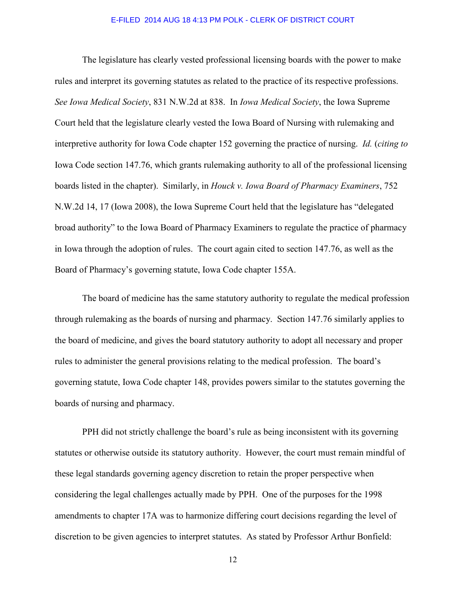The legislature has clearly vested professional licensing boards with the power to make rules and interpret its governing statutes as related to the practice of its respective professions. *See Iowa Medical Society*, 831 N.W.2d at 838. In *Iowa Medical Society*, the Iowa Supreme Court held that the legislature clearly vested the Iowa Board of Nursing with rulemaking and interpretive authority for Iowa Code chapter 152 governing the practice of nursing. *Id.* (*citing to* Iowa Code section 147.76, which grants rulemaking authority to all of the professional licensing boards listed in the chapter). Similarly, in *Houck v. Iowa Board of Pharmacy Examiners*, 752 N.W.2d 14, 17 (Iowa 2008), the Iowa Supreme Court held that the legislature has "delegated broad authority" to the Iowa Board of Pharmacy Examiners to regulate the practice of pharmacy in Iowa through the adoption of rules. The court again cited to section 147.76, as well as the Board of Pharmacy's governing statute, Iowa Code chapter 155A.

The board of medicine has the same statutory authority to regulate the medical profession through rulemaking as the boards of nursing and pharmacy. Section 147.76 similarly applies to the board of medicine, and gives the board statutory authority to adopt all necessary and proper rules to administer the general provisions relating to the medical profession. The board's governing statute, Iowa Code chapter 148, provides powers similar to the statutes governing the boards of nursing and pharmacy.

PPH did not strictly challenge the board's rule as being inconsistent with its governing statutes or otherwise outside its statutory authority. However, the court must remain mindful of these legal standards governing agency discretion to retain the proper perspective when considering the legal challenges actually made by PPH. One of the purposes for the 1998 amendments to chapter 17A was to harmonize differing court decisions regarding the level of discretion to be given agencies to interpret statutes. As stated by Professor Arthur Bonfield: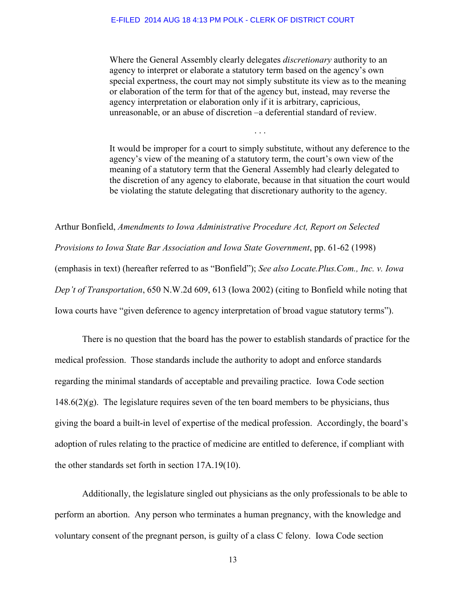Where the General Assembly clearly delegates *discretionary* authority to an agency to interpret or elaborate a statutory term based on the agency's own special expertness, the court may not simply substitute its view as to the meaning or elaboration of the term for that of the agency but, instead, may reverse the agency interpretation or elaboration only if it is arbitrary, capricious, unreasonable, or an abuse of discretion –a deferential standard of review.

It would be improper for a court to simply substitute, without any deference to the agency's view of the meaning of a statutory term, the court's own view of the meaning of a statutory term that the General Assembly had clearly delegated to the discretion of any agency to elaborate, because in that situation the court would be violating the statute delegating that discretionary authority to the agency.

. . .

Arthur Bonfield, *Amendments to Iowa Administrative Procedure Act, Report on Selected Provisions to Iowa State Bar Association and Iowa State Government*, pp. 61-62 (1998) (emphasis in text) (hereafter referred to as "Bonfield"); *See also Locate.Plus.Com., Inc. v. Iowa Dep't of Transportation*, 650 N.W.2d 609, 613 (Iowa 2002) (citing to Bonfield while noting that Iowa courts have "given deference to agency interpretation of broad vague statutory terms").

 There is no question that the board has the power to establish standards of practice for the medical profession. Those standards include the authority to adopt and enforce standards regarding the minimal standards of acceptable and prevailing practice. Iowa Code section  $148.6(2)(g)$ . The legislature requires seven of the ten board members to be physicians, thus giving the board a built-in level of expertise of the medical profession. Accordingly, the board's adoption of rules relating to the practice of medicine are entitled to deference, if compliant with the other standards set forth in section 17A.19(10).

 Additionally, the legislature singled out physicians as the only professionals to be able to perform an abortion. Any person who terminates a human pregnancy, with the knowledge and voluntary consent of the pregnant person, is guilty of a class C felony. Iowa Code section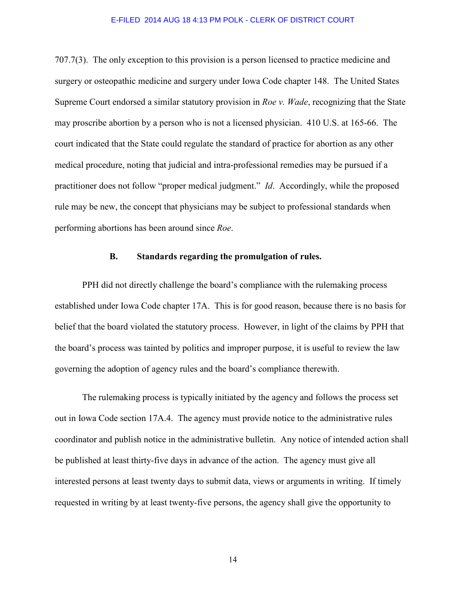707.7(3). The only exception to this provision is a person licensed to practice medicine and surgery or osteopathic medicine and surgery under Iowa Code chapter 148. The United States Supreme Court endorsed a similar statutory provision in *Roe v. Wade*, recognizing that the State may proscribe abortion by a person who is not a licensed physician. 410 U.S. at 165-66. The court indicated that the State could regulate the standard of practice for abortion as any other medical procedure, noting that judicial and intra-professional remedies may be pursued if a practitioner does not follow "proper medical judgment." *Id*. Accordingly, while the proposed rule may be new, the concept that physicians may be subject to professional standards when performing abortions has been around since *Roe*.

## **B. Standards regarding the promulgation of rules.**

PPH did not directly challenge the board's compliance with the rulemaking process established under Iowa Code chapter 17A. This is for good reason, because there is no basis for belief that the board violated the statutory process. However, in light of the claims by PPH that the board's process was tainted by politics and improper purpose, it is useful to review the law governing the adoption of agency rules and the board's compliance therewith.

 The rulemaking process is typically initiated by the agency and follows the process set out in Iowa Code section 17A.4. The agency must provide notice to the administrative rules coordinator and publish notice in the administrative bulletin. Any notice of intended action shall be published at least thirty-five days in advance of the action. The agency must give all interested persons at least twenty days to submit data, views or arguments in writing. If timely requested in writing by at least twenty-five persons, the agency shall give the opportunity to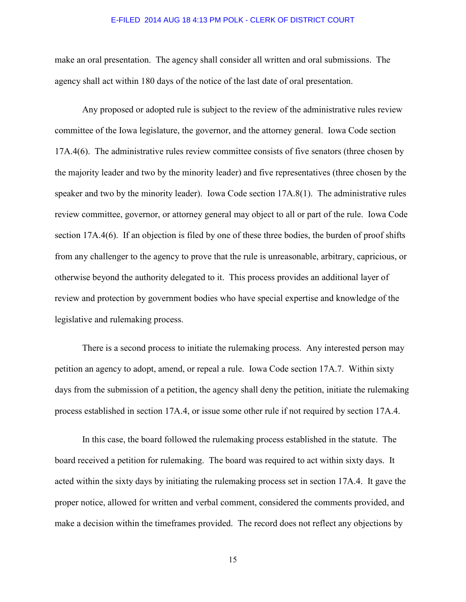make an oral presentation. The agency shall consider all written and oral submissions. The agency shall act within 180 days of the notice of the last date of oral presentation.

 Any proposed or adopted rule is subject to the review of the administrative rules review committee of the Iowa legislature, the governor, and the attorney general. Iowa Code section 17A.4(6). The administrative rules review committee consists of five senators (three chosen by the majority leader and two by the minority leader) and five representatives (three chosen by the speaker and two by the minority leader). Iowa Code section 17A.8(1). The administrative rules review committee, governor, or attorney general may object to all or part of the rule. Iowa Code section 17A.4(6). If an objection is filed by one of these three bodies, the burden of proof shifts from any challenger to the agency to prove that the rule is unreasonable, arbitrary, capricious, or otherwise beyond the authority delegated to it. This process provides an additional layer of review and protection by government bodies who have special expertise and knowledge of the legislative and rulemaking process.

 There is a second process to initiate the rulemaking process. Any interested person may petition an agency to adopt, amend, or repeal a rule. Iowa Code section 17A.7. Within sixty days from the submission of a petition, the agency shall deny the petition, initiate the rulemaking process established in section 17A.4, or issue some other rule if not required by section 17A.4.

 In this case, the board followed the rulemaking process established in the statute. The board received a petition for rulemaking. The board was required to act within sixty days. It acted within the sixty days by initiating the rulemaking process set in section 17A.4. It gave the proper notice, allowed for written and verbal comment, considered the comments provided, and make a decision within the timeframes provided. The record does not reflect any objections by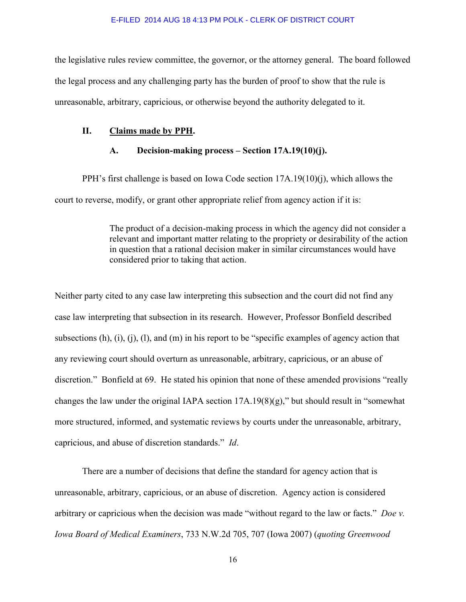the legislative rules review committee, the governor, or the attorney general. The board followed the legal process and any challenging party has the burden of proof to show that the rule is unreasonable, arbitrary, capricious, or otherwise beyond the authority delegated to it.

## **II. Claims made by PPH.**

## **A. Decision-making process – Section 17A.19(10)(j).**

 PPH's first challenge is based on Iowa Code section 17A.19(10)(j), which allows the court to reverse, modify, or grant other appropriate relief from agency action if it is:

> The product of a decision-making process in which the agency did not consider a relevant and important matter relating to the propriety or desirability of the action in question that a rational decision maker in similar circumstances would have considered prior to taking that action.

Neither party cited to any case law interpreting this subsection and the court did not find any case law interpreting that subsection in its research. However, Professor Bonfield described subsections (h), (i), (i), (l), and (m) in his report to be "specific examples of agency action that any reviewing court should overturn as unreasonable, arbitrary, capricious, or an abuse of discretion." Bonfield at 69. He stated his opinion that none of these amended provisions "really changes the law under the original IAPA section 17A.19(8)(g)," but should result in "somewhat more structured, informed, and systematic reviews by courts under the unreasonable, arbitrary, capricious, and abuse of discretion standards." *Id*.

 There are a number of decisions that define the standard for agency action that is unreasonable, arbitrary, capricious, or an abuse of discretion. Agency action is considered arbitrary or capricious when the decision was made "without regard to the law or facts." *Doe v. Iowa Board of Medical Examiners*, 733 N.W.2d 705, 707 (Iowa 2007) (*quoting Greenwood*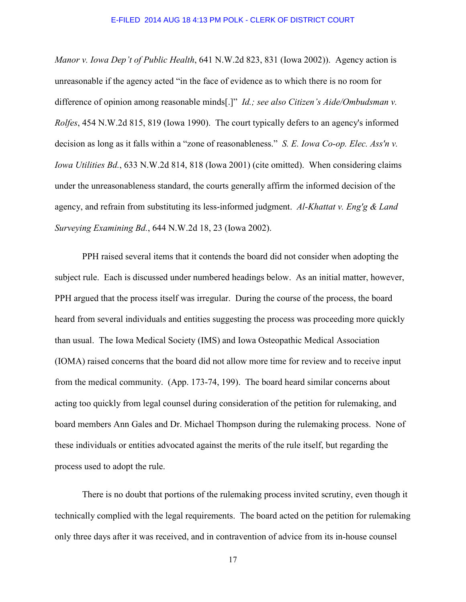*Manor v. Iowa Dep't of Public Health*, 641 N.W.2d 823, 831 (Iowa 2002)). Agency action is unreasonable if the agency acted "in the face of evidence as to which there is no room for difference of opinion among reasonable minds[.]" *Id.; see also Citizen's Aide/Ombudsman v. Rolfes*, 454 N.W.2d 815, 819 (Iowa 1990). The court typically defers to an agency's informed decision as long as it falls within a "zone of reasonableness." *S. E. Iowa Co-op. Elec. Ass'n v. Iowa Utilities Bd.*, 633 N.W.2d 814, 818 (Iowa 2001) (cite omitted). When considering claims under the unreasonableness standard, the courts generally affirm the informed decision of the agency, and refrain from substituting its less-informed judgment. *Al-Khattat v. Eng'g & Land Surveying Examining Bd.*, 644 N.W.2d 18, 23 (Iowa 2002).

 PPH raised several items that it contends the board did not consider when adopting the subject rule. Each is discussed under numbered headings below. As an initial matter, however, PPH argued that the process itself was irregular. During the course of the process, the board heard from several individuals and entities suggesting the process was proceeding more quickly than usual. The Iowa Medical Society (IMS) and Iowa Osteopathic Medical Association (IOMA) raised concerns that the board did not allow more time for review and to receive input from the medical community. (App. 173-74, 199). The board heard similar concerns about acting too quickly from legal counsel during consideration of the petition for rulemaking, and board members Ann Gales and Dr. Michael Thompson during the rulemaking process. None of these individuals or entities advocated against the merits of the rule itself, but regarding the process used to adopt the rule.

 There is no doubt that portions of the rulemaking process invited scrutiny, even though it technically complied with the legal requirements. The board acted on the petition for rulemaking only three days after it was received, and in contravention of advice from its in-house counsel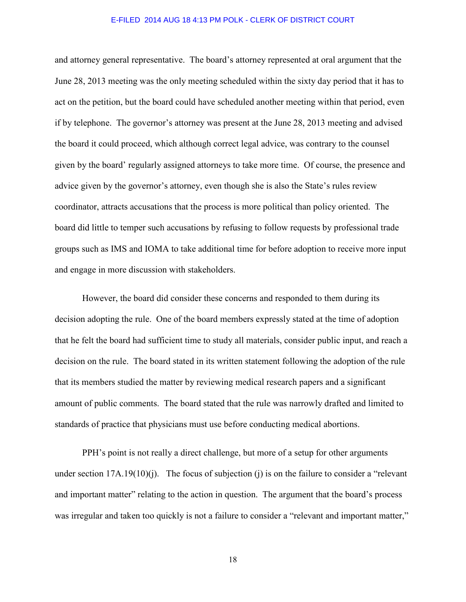and attorney general representative. The board's attorney represented at oral argument that the June 28, 2013 meeting was the only meeting scheduled within the sixty day period that it has to act on the petition, but the board could have scheduled another meeting within that period, even if by telephone. The governor's attorney was present at the June 28, 2013 meeting and advised the board it could proceed, which although correct legal advice, was contrary to the counsel given by the board' regularly assigned attorneys to take more time. Of course, the presence and advice given by the governor's attorney, even though she is also the State's rules review coordinator, attracts accusations that the process is more political than policy oriented. The board did little to temper such accusations by refusing to follow requests by professional trade groups such as IMS and IOMA to take additional time for before adoption to receive more input and engage in more discussion with stakeholders.

However, the board did consider these concerns and responded to them during its decision adopting the rule. One of the board members expressly stated at the time of adoption that he felt the board had sufficient time to study all materials, consider public input, and reach a decision on the rule. The board stated in its written statement following the adoption of the rule that its members studied the matter by reviewing medical research papers and a significant amount of public comments. The board stated that the rule was narrowly drafted and limited to standards of practice that physicians must use before conducting medical abortions.

 PPH's point is not really a direct challenge, but more of a setup for other arguments under section  $17A.19(10)(i)$ . The focus of subjection (j) is on the failure to consider a "relevant" and important matter" relating to the action in question. The argument that the board's process was irregular and taken too quickly is not a failure to consider a "relevant and important matter,"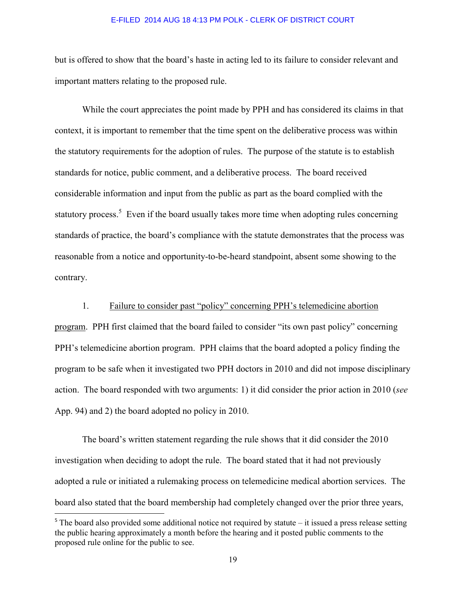but is offered to show that the board's haste in acting led to its failure to consider relevant and important matters relating to the proposed rule.

 While the court appreciates the point made by PPH and has considered its claims in that context, it is important to remember that the time spent on the deliberative process was within the statutory requirements for the adoption of rules. The purpose of the statute is to establish standards for notice, public comment, and a deliberative process. The board received considerable information and input from the public as part as the board complied with the statutory process.<sup>5</sup> Even if the board usually takes more time when adopting rules concerning standards of practice, the board's compliance with the statute demonstrates that the process was reasonable from a notice and opportunity-to-be-heard standpoint, absent some showing to the contrary.

## 1. Failure to consider past "policy" concerning PPH's telemedicine abortion

program. PPH first claimed that the board failed to consider "its own past policy" concerning PPH's telemedicine abortion program. PPH claims that the board adopted a policy finding the program to be safe when it investigated two PPH doctors in 2010 and did not impose disciplinary action. The board responded with two arguments: 1) it did consider the prior action in 2010 (*see* App. 94) and 2) the board adopted no policy in 2010.

 The board's written statement regarding the rule shows that it did consider the 2010 investigation when deciding to adopt the rule. The board stated that it had not previously adopted a rule or initiated a rulemaking process on telemedicine medical abortion services. The board also stated that the board membership had completely changed over the prior three years,

l

 $5$  The board also provided some additional notice not required by statute – it issued a press release setting the public hearing approximately a month before the hearing and it posted public comments to the proposed rule online for the public to see.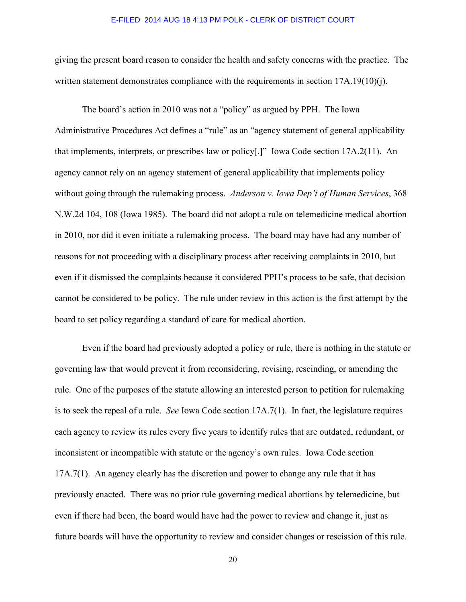giving the present board reason to consider the health and safety concerns with the practice. The written statement demonstrates compliance with the requirements in section 17A.19(10)(j).

 The board's action in 2010 was not a "policy" as argued by PPH. The Iowa Administrative Procedures Act defines a "rule" as an "agency statement of general applicability that implements, interprets, or prescribes law or policy[.]" Iowa Code section 17A.2(11). An agency cannot rely on an agency statement of general applicability that implements policy without going through the rulemaking process. *Anderson v. Iowa Dep't of Human Services*, 368 N.W.2d 104, 108 (Iowa 1985). The board did not adopt a rule on telemedicine medical abortion in 2010, nor did it even initiate a rulemaking process. The board may have had any number of reasons for not proceeding with a disciplinary process after receiving complaints in 2010, but even if it dismissed the complaints because it considered PPH's process to be safe, that decision cannot be considered to be policy. The rule under review in this action is the first attempt by the board to set policy regarding a standard of care for medical abortion.

 Even if the board had previously adopted a policy or rule, there is nothing in the statute or governing law that would prevent it from reconsidering, revising, rescinding, or amending the rule. One of the purposes of the statute allowing an interested person to petition for rulemaking is to seek the repeal of a rule. *See* Iowa Code section 17A.7(1). In fact, the legislature requires each agency to review its rules every five years to identify rules that are outdated, redundant, or inconsistent or incompatible with statute or the agency's own rules. Iowa Code section 17A.7(1). An agency clearly has the discretion and power to change any rule that it has previously enacted. There was no prior rule governing medical abortions by telemedicine, but even if there had been, the board would have had the power to review and change it, just as future boards will have the opportunity to review and consider changes or rescission of this rule.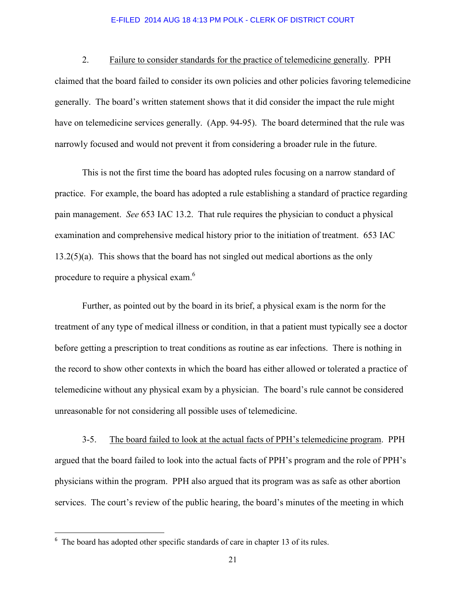2. Failure to consider standards for the practice of telemedicine generally. PPH claimed that the board failed to consider its own policies and other policies favoring telemedicine generally. The board's written statement shows that it did consider the impact the rule might have on telemedicine services generally. (App. 94-95). The board determined that the rule was narrowly focused and would not prevent it from considering a broader rule in the future.

 This is not the first time the board has adopted rules focusing on a narrow standard of practice. For example, the board has adopted a rule establishing a standard of practice regarding pain management. *See* 653 IAC 13.2. That rule requires the physician to conduct a physical examination and comprehensive medical history prior to the initiation of treatment. 653 IAC 13.2(5)(a). This shows that the board has not singled out medical abortions as the only procedure to require a physical exam.<sup>6</sup>

Further, as pointed out by the board in its brief, a physical exam is the norm for the treatment of any type of medical illness or condition, in that a patient must typically see a doctor before getting a prescription to treat conditions as routine as ear infections. There is nothing in the record to show other contexts in which the board has either allowed or tolerated a practice of telemedicine without any physical exam by a physician. The board's rule cannot be considered unreasonable for not considering all possible uses of telemedicine.

 3-5. The board failed to look at the actual facts of PPH's telemedicine program. PPH argued that the board failed to look into the actual facts of PPH's program and the role of PPH's physicians within the program. PPH also argued that its program was as safe as other abortion services. The court's review of the public hearing, the board's minutes of the meeting in which

 $\overline{a}$ 

<sup>&</sup>lt;sup>6</sup> The board has adopted other specific standards of care in chapter 13 of its rules.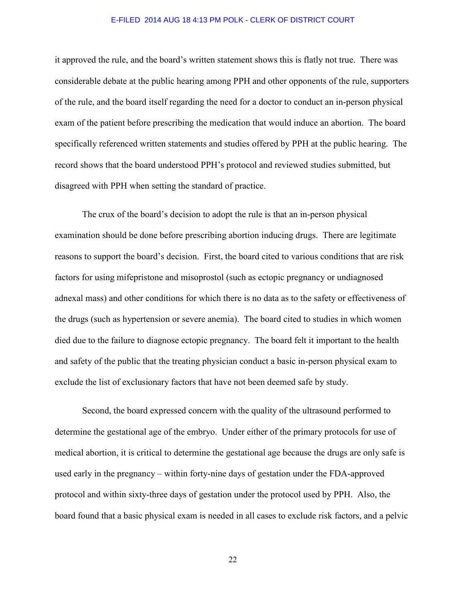it approved the rule, and the board's written statement shows this is flatly not true. There was considerable debate at the public hearing among PPH and other opponents of the rule, supporters of the rule, and the board itself regarding the need for a doctor to conduct an in-person physical exam of the patient before prescribing the medication that would induce an abortion. The board specifically referenced written statements and studies offered by PPH at the public hearing. The record shows that the board understood PPH's protocol and reviewed studies submitted, but disagreed with PPH when setting the standard of practice.

 The crux of the board's decision to adopt the rule is that an in-person physical examination should be done before prescribing abortion inducing drugs. There are legitimate reasons to support the board's decision. First, the board cited to various conditions that are risk factors for using mifepristone and misoprostol (such as ectopic pregnancy or undiagnosed adnexal mass) and other conditions for which there is no data as to the safety or effectiveness of the drugs (such as hypertension or severe anemia). The board cited to studies in which women died due to the failure to diagnose ectopic pregnancy. The board felt it important to the health and safety of the public that the treating physician conduct a basic in-person physical exam to exclude the list of exclusionary factors that have not been deemed safe by study.

Second, the board expressed concern with the quality of the ultrasound performed to determine the gestational age of the embryo. Under either of the primary protocols for use of medical abortion, it is critical to determine the gestational age because the drugs are only safe is used early in the pregnancy – within forty-nine days of gestation under the FDA-approved protocol and within sixty-three days of gestation under the protocol used by PPH. Also, the board found that a basic physical exam is needed in all cases to exclude risk factors, and a pelvic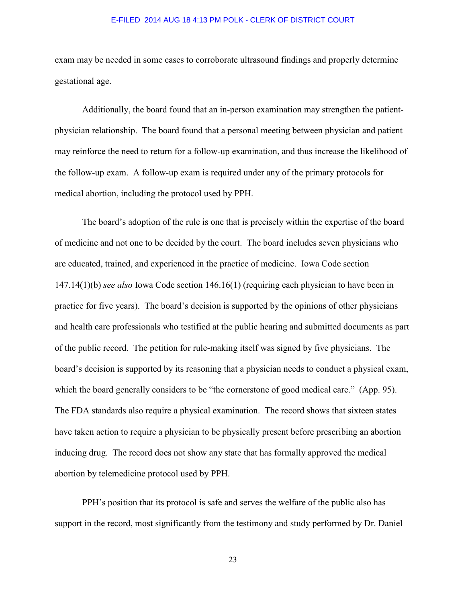exam may be needed in some cases to corroborate ultrasound findings and properly determine gestational age.

Additionally, the board found that an in-person examination may strengthen the patientphysician relationship. The board found that a personal meeting between physician and patient may reinforce the need to return for a follow-up examination, and thus increase the likelihood of the follow-up exam. A follow-up exam is required under any of the primary protocols for medical abortion, including the protocol used by PPH.

 The board's adoption of the rule is one that is precisely within the expertise of the board of medicine and not one to be decided by the court. The board includes seven physicians who are educated, trained, and experienced in the practice of medicine. Iowa Code section 147.14(1)(b) *see also* Iowa Code section 146.16(1) (requiring each physician to have been in practice for five years). The board's decision is supported by the opinions of other physicians and health care professionals who testified at the public hearing and submitted documents as part of the public record. The petition for rule-making itself was signed by five physicians. The board's decision is supported by its reasoning that a physician needs to conduct a physical exam, which the board generally considers to be "the cornerstone of good medical care." (App. 95). The FDA standards also require a physical examination. The record shows that sixteen states have taken action to require a physician to be physically present before prescribing an abortion inducing drug. The record does not show any state that has formally approved the medical abortion by telemedicine protocol used by PPH.

 PPH's position that its protocol is safe and serves the welfare of the public also has support in the record, most significantly from the testimony and study performed by Dr. Daniel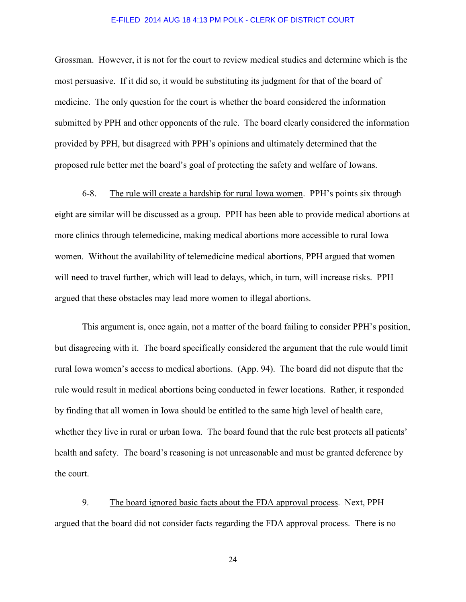Grossman. However, it is not for the court to review medical studies and determine which is the most persuasive. If it did so, it would be substituting its judgment for that of the board of medicine. The only question for the court is whether the board considered the information submitted by PPH and other opponents of the rule. The board clearly considered the information provided by PPH, but disagreed with PPH's opinions and ultimately determined that the proposed rule better met the board's goal of protecting the safety and welfare of Iowans.

 6-8. The rule will create a hardship for rural Iowa women. PPH's points six through eight are similar will be discussed as a group. PPH has been able to provide medical abortions at more clinics through telemedicine, making medical abortions more accessible to rural Iowa women. Without the availability of telemedicine medical abortions, PPH argued that women will need to travel further, which will lead to delays, which, in turn, will increase risks. PPH argued that these obstacles may lead more women to illegal abortions.

 This argument is, once again, not a matter of the board failing to consider PPH's position, but disagreeing with it. The board specifically considered the argument that the rule would limit rural Iowa women's access to medical abortions. (App. 94). The board did not dispute that the rule would result in medical abortions being conducted in fewer locations. Rather, it responded by finding that all women in Iowa should be entitled to the same high level of health care, whether they live in rural or urban Iowa. The board found that the rule best protects all patients' health and safety. The board's reasoning is not unreasonable and must be granted deference by the court.

 9. The board ignored basic facts about the FDA approval process. Next, PPH argued that the board did not consider facts regarding the FDA approval process. There is no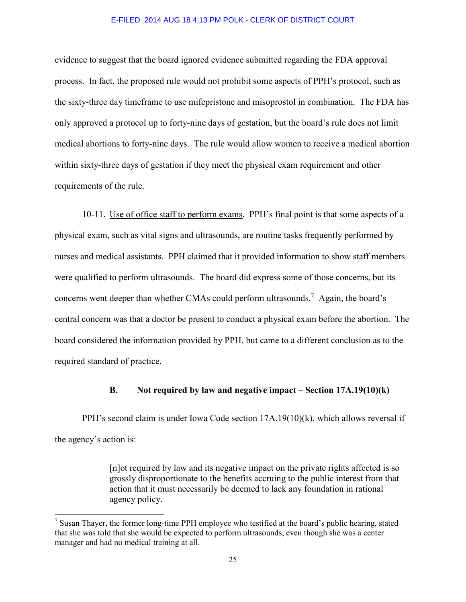evidence to suggest that the board ignored evidence submitted regarding the FDA approval process. In fact, the proposed rule would not prohibit some aspects of PPH's protocol, such as the sixty-three day timeframe to use mifepristone and misoprostol in combination. The FDA has only approved a protocol up to forty-nine days of gestation, but the board's rule does not limit medical abortions to forty-nine days. The rule would allow women to receive a medical abortion within sixty-three days of gestation if they meet the physical exam requirement and other requirements of the rule.

 10-11. Use of office staff to perform exams. PPH's final point is that some aspects of a physical exam, such as vital signs and ultrasounds, are routine tasks frequently performed by nurses and medical assistants. PPH claimed that it provided information to show staff members were qualified to perform ultrasounds. The board did express some of those concerns, but its concerns went deeper than whether CMAs could perform ultrasounds.<sup>7</sup> Again, the board's central concern was that a doctor be present to conduct a physical exam before the abortion. The board considered the information provided by PPH, but came to a different conclusion as to the required standard of practice.

# **B. Not required by law and negative impact – Section 17A.19(10)(k)**

 PPH's second claim is under Iowa Code section 17A.19(10)(k), which allows reversal if the agency's action is:

> [n]ot required by law and its negative impact on the private rights affected is so grossly disproportionate to the benefits accruing to the public interest from that action that it must necessarily be deemed to lack any foundation in rational agency policy.

l

<sup>&</sup>lt;sup>7</sup> Susan Thayer, the former long-time PPH employee who testified at the board's public hearing, stated that she was told that she would be expected to perform ultrasounds, even though she was a center manager and had no medical training at all.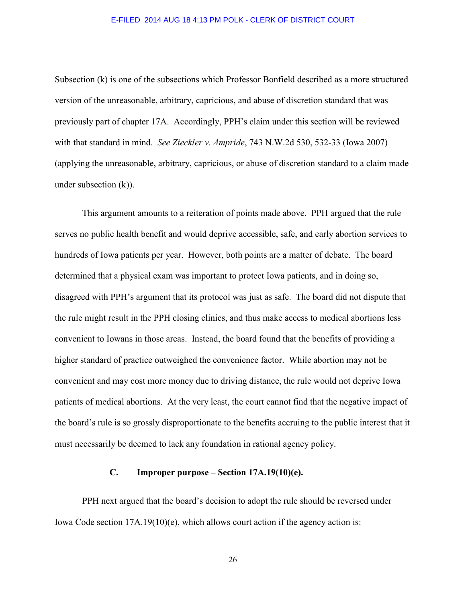Subsection (k) is one of the subsections which Professor Bonfield described as a more structured version of the unreasonable, arbitrary, capricious, and abuse of discretion standard that was previously part of chapter 17A. Accordingly, PPH's claim under this section will be reviewed with that standard in mind. *See Zieckler v. Ampride*, 743 N.W.2d 530, 532-33 (Iowa 2007) (applying the unreasonable, arbitrary, capricious, or abuse of discretion standard to a claim made under subsection (k)).

 This argument amounts to a reiteration of points made above. PPH argued that the rule serves no public health benefit and would deprive accessible, safe, and early abortion services to hundreds of Iowa patients per year. However, both points are a matter of debate. The board determined that a physical exam was important to protect Iowa patients, and in doing so, disagreed with PPH's argument that its protocol was just as safe. The board did not dispute that the rule might result in the PPH closing clinics, and thus make access to medical abortions less convenient to Iowans in those areas. Instead, the board found that the benefits of providing a higher standard of practice outweighed the convenience factor. While abortion may not be convenient and may cost more money due to driving distance, the rule would not deprive Iowa patients of medical abortions. At the very least, the court cannot find that the negative impact of the board's rule is so grossly disproportionate to the benefits accruing to the public interest that it must necessarily be deemed to lack any foundation in rational agency policy.

# **C. Improper purpose – Section 17A.19(10)(e).**

 PPH next argued that the board's decision to adopt the rule should be reversed under Iowa Code section 17A.19(10)(e), which allows court action if the agency action is: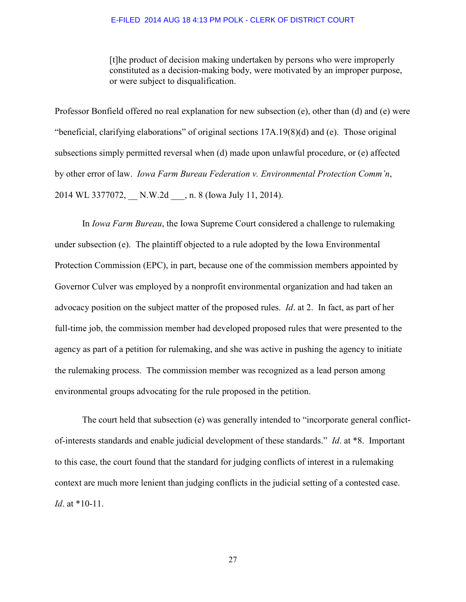[t]he product of decision making undertaken by persons who were improperly constituted as a decision-making body, were motivated by an improper purpose, or were subject to disqualification.

Professor Bonfield offered no real explanation for new subsection (e), other than (d) and (e) were "beneficial, clarifying elaborations" of original sections 17A.19(8)(d) and (e). Those original subsections simply permitted reversal when (d) made upon unlawful procedure, or (e) affected by other error of law. *Iowa Farm Bureau Federation v. Environmental Protection Comm'n*, 2014 WL 3377072, N.W.2d , n. 8 (Iowa July 11, 2014).

 In *Iowa Farm Bureau*, the Iowa Supreme Court considered a challenge to rulemaking under subsection (e). The plaintiff objected to a rule adopted by the Iowa Environmental Protection Commission (EPC), in part, because one of the commission members appointed by Governor Culver was employed by a nonprofit environmental organization and had taken an advocacy position on the subject matter of the proposed rules. *Id*. at 2. In fact, as part of her full-time job, the commission member had developed proposed rules that were presented to the agency as part of a petition for rulemaking, and she was active in pushing the agency to initiate the rulemaking process. The commission member was recognized as a lead person among environmental groups advocating for the rule proposed in the petition.

The court held that subsection (e) was generally intended to "incorporate general conflictof-interests standards and enable judicial development of these standards." *Id*. at \*8. Important to this case, the court found that the standard for judging conflicts of interest in a rulemaking context are much more lenient than judging conflicts in the judicial setting of a contested case. *Id*. at \*10-11.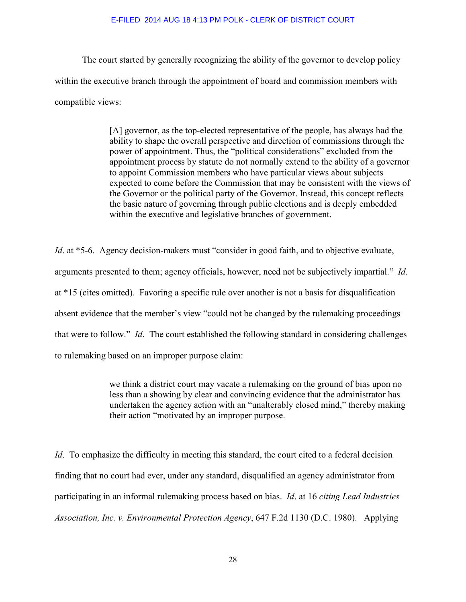The court started by generally recognizing the ability of the governor to develop policy within the executive branch through the appointment of board and commission members with compatible views:

> [A] governor, as the top-elected representative of the people, has always had the ability to shape the overall perspective and direction of commissions through the power of appointment. Thus, the "political considerations" excluded from the appointment process by statute do not normally extend to the ability of a governor to appoint Commission members who have particular views about subjects expected to come before the Commission that may be consistent with the views of the Governor or the political party of the Governor. Instead, this concept reflects the basic nature of governing through public elections and is deeply embedded within the executive and legislative branches of government.

*Id.* at \*5-6. Agency decision-makers must "consider in good faith, and to objective evaluate, arguments presented to them; agency officials, however, need not be subjectively impartial." *Id*. at \*15 (cites omitted). Favoring a specific rule over another is not a basis for disqualification absent evidence that the member's view "could not be changed by the rulemaking proceedings that were to follow." *Id*. The court established the following standard in considering challenges to rulemaking based on an improper purpose claim:

> we think a district court may vacate a rulemaking on the ground of bias upon no less than a showing by clear and convincing evidence that the administrator has undertaken the agency action with an "unalterably closed mind," thereby making their action "motivated by an improper purpose.

*Id*. To emphasize the difficulty in meeting this standard, the court cited to a federal decision finding that no court had ever, under any standard, disqualified an agency administrator from participating in an informal rulemaking process based on bias. *Id*. at 16 *citing Lead Industries Association, Inc. v. Environmental Protection Agency*, 647 F.2d 1130 (D.C. 1980). Applying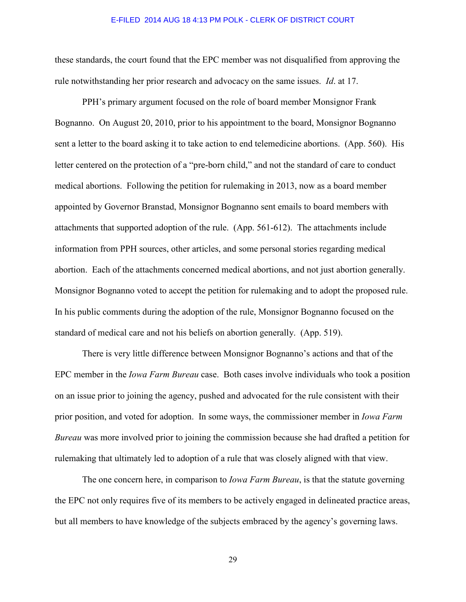these standards, the court found that the EPC member was not disqualified from approving the rule notwithstanding her prior research and advocacy on the same issues. *Id*. at 17.

 PPH's primary argument focused on the role of board member Monsignor Frank Bognanno. On August 20, 2010, prior to his appointment to the board, Monsignor Bognanno sent a letter to the board asking it to take action to end telemedicine abortions. (App. 560). His letter centered on the protection of a "pre-born child," and not the standard of care to conduct medical abortions. Following the petition for rulemaking in 2013, now as a board member appointed by Governor Branstad, Monsignor Bognanno sent emails to board members with attachments that supported adoption of the rule. (App. 561-612). The attachments include information from PPH sources, other articles, and some personal stories regarding medical abortion. Each of the attachments concerned medical abortions, and not just abortion generally. Monsignor Bognanno voted to accept the petition for rulemaking and to adopt the proposed rule. In his public comments during the adoption of the rule, Monsignor Bognanno focused on the standard of medical care and not his beliefs on abortion generally. (App. 519).

 There is very little difference between Monsignor Bognanno's actions and that of the EPC member in the *Iowa Farm Bureau* case. Both cases involve individuals who took a position on an issue prior to joining the agency, pushed and advocated for the rule consistent with their prior position, and voted for adoption. In some ways, the commissioner member in *Iowa Farm Bureau* was more involved prior to joining the commission because she had drafted a petition for rulemaking that ultimately led to adoption of a rule that was closely aligned with that view.

 The one concern here, in comparison to *Iowa Farm Bureau*, is that the statute governing the EPC not only requires five of its members to be actively engaged in delineated practice areas, but all members to have knowledge of the subjects embraced by the agency's governing laws.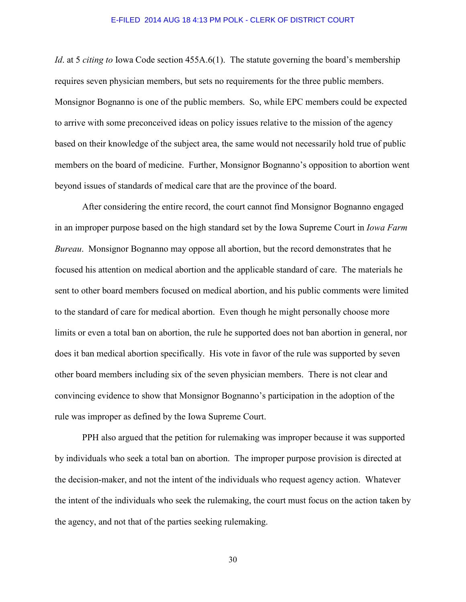*Id*. at 5 *citing to* Iowa Code section 455A.6(1). The statute governing the board's membership requires seven physician members, but sets no requirements for the three public members. Monsignor Bognanno is one of the public members. So, while EPC members could be expected to arrive with some preconceived ideas on policy issues relative to the mission of the agency based on their knowledge of the subject area, the same would not necessarily hold true of public members on the board of medicine. Further, Monsignor Bognanno's opposition to abortion went beyond issues of standards of medical care that are the province of the board.

 After considering the entire record, the court cannot find Monsignor Bognanno engaged in an improper purpose based on the high standard set by the Iowa Supreme Court in *Iowa Farm Bureau*. Monsignor Bognanno may oppose all abortion, but the record demonstrates that he focused his attention on medical abortion and the applicable standard of care. The materials he sent to other board members focused on medical abortion, and his public comments were limited to the standard of care for medical abortion. Even though he might personally choose more limits or even a total ban on abortion, the rule he supported does not ban abortion in general, nor does it ban medical abortion specifically. His vote in favor of the rule was supported by seven other board members including six of the seven physician members. There is not clear and convincing evidence to show that Monsignor Bognanno's participation in the adoption of the rule was improper as defined by the Iowa Supreme Court.

 PPH also argued that the petition for rulemaking was improper because it was supported by individuals who seek a total ban on abortion. The improper purpose provision is directed at the decision-maker, and not the intent of the individuals who request agency action. Whatever the intent of the individuals who seek the rulemaking, the court must focus on the action taken by the agency, and not that of the parties seeking rulemaking.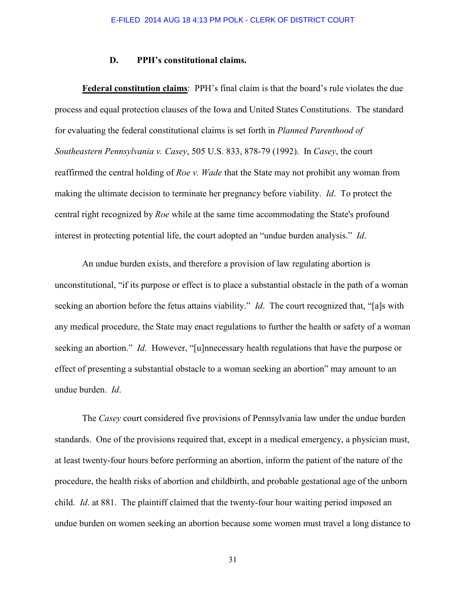## **D. PPH's constitutional claims.**

**Federal constitution claims**: PPH's final claim is that the board's rule violates the due process and equal protection clauses of the Iowa and United States Constitutions. The standard for evaluating the federal constitutional claims is set forth in *Planned Parenthood of Southeastern Pennsylvania v. Casey*, 505 U.S. 833, 878-79 (1992). In *Casey*, the court reaffirmed the central holding of *Roe v. Wade* that the State may not prohibit any woman from making the ultimate decision to terminate her pregnancy before viability. *Id*. To protect the central right recognized by *Roe* while at the same time accommodating the State's profound interest in protecting potential life, the court adopted an "undue burden analysis." *Id*.

An undue burden exists, and therefore a provision of law regulating abortion is unconstitutional, "if its purpose or effect is to place a substantial obstacle in the path of a woman seeking an abortion before the fetus attains viability." *Id*. The court recognized that, "[a]s with any medical procedure, the State may enact regulations to further the health or safety of a woman seeking an abortion." *Id*. However, "[u]nnecessary health regulations that have the purpose or effect of presenting a substantial obstacle to a woman seeking an abortion" may amount to an undue burden. *Id*.

The *Casey* court considered five provisions of Pennsylvania law under the undue burden standards. One of the provisions required that, except in a medical emergency, a physician must, at least twenty-four hours before performing an abortion, inform the patient of the nature of the procedure, the health risks of abortion and childbirth, and probable gestational age of the unborn child. *Id*. at 881. The plaintiff claimed that the twenty-four hour waiting period imposed an undue burden on women seeking an abortion because some women must travel a long distance to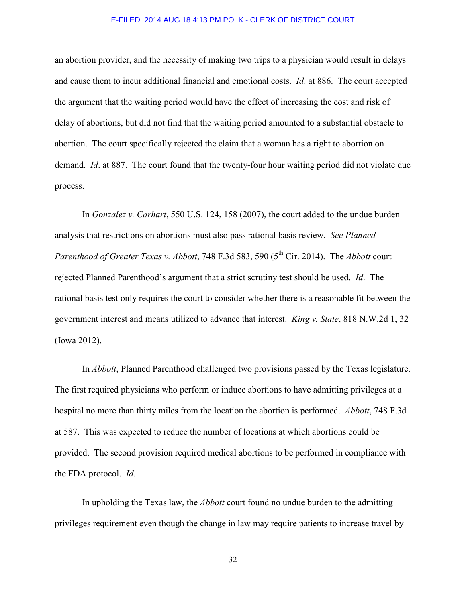an abortion provider, and the necessity of making two trips to a physician would result in delays and cause them to incur additional financial and emotional costs. *Id*. at 886. The court accepted the argument that the waiting period would have the effect of increasing the cost and risk of delay of abortions, but did not find that the waiting period amounted to a substantial obstacle to abortion. The court specifically rejected the claim that a woman has a right to abortion on demand. *Id*. at 887. The court found that the twenty-four hour waiting period did not violate due process.

 In *Gonzalez v. Carhart*, 550 U.S. 124, 158 (2007), the court added to the undue burden analysis that restrictions on abortions must also pass rational basis review. *See Planned Parenthood of Greater Texas v. Abbott,* 748 F.3d 583, 590 (5<sup>th</sup> Cir. 2014). The *Abbott* court rejected Planned Parenthood's argument that a strict scrutiny test should be used. *Id*. The rational basis test only requires the court to consider whether there is a reasonable fit between the government interest and means utilized to advance that interest. *King v. State*, 818 N.W.2d 1, 32 (Iowa 2012).

 In *Abbott*, Planned Parenthood challenged two provisions passed by the Texas legislature. The first required physicians who perform or induce abortions to have admitting privileges at a hospital no more than thirty miles from the location the abortion is performed. *Abbott*, 748 F.3d at 587. This was expected to reduce the number of locations at which abortions could be provided. The second provision required medical abortions to be performed in compliance with the FDA protocol. *Id*.

In upholding the Texas law, the *Abbott* court found no undue burden to the admitting privileges requirement even though the change in law may require patients to increase travel by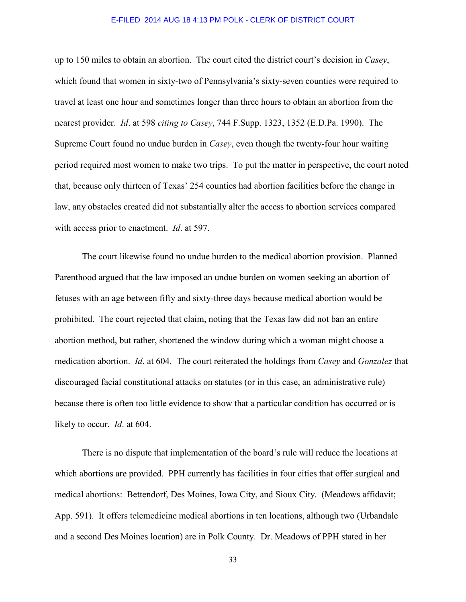up to 150 miles to obtain an abortion. The court cited the district court's decision in *Casey*, which found that women in sixty-two of Pennsylvania's sixty-seven counties were required to travel at least one hour and sometimes longer than three hours to obtain an abortion from the nearest provider. *Id*. at 598 *citing to Casey*, 744 F.Supp. 1323, 1352 (E.D.Pa. 1990). The Supreme Court found no undue burden in *Casey*, even though the twenty-four hour waiting period required most women to make two trips. To put the matter in perspective, the court noted that, because only thirteen of Texas' 254 counties had abortion facilities before the change in law, any obstacles created did not substantially alter the access to abortion services compared with access prior to enactment. *Id*. at 597.

 The court likewise found no undue burden to the medical abortion provision. Planned Parenthood argued that the law imposed an undue burden on women seeking an abortion of fetuses with an age between fifty and sixty-three days because medical abortion would be prohibited. The court rejected that claim, noting that the Texas law did not ban an entire abortion method, but rather, shortened the window during which a woman might choose a medication abortion. *Id*. at 604. The court reiterated the holdings from *Casey* and *Gonzalez* that discouraged facial constitutional attacks on statutes (or in this case, an administrative rule) because there is often too little evidence to show that a particular condition has occurred or is likely to occur. *Id*. at 604.

 There is no dispute that implementation of the board's rule will reduce the locations at which abortions are provided. PPH currently has facilities in four cities that offer surgical and medical abortions: Bettendorf, Des Moines, Iowa City, and Sioux City. (Meadows affidavit; App. 591). It offers telemedicine medical abortions in ten locations, although two (Urbandale and a second Des Moines location) are in Polk County. Dr. Meadows of PPH stated in her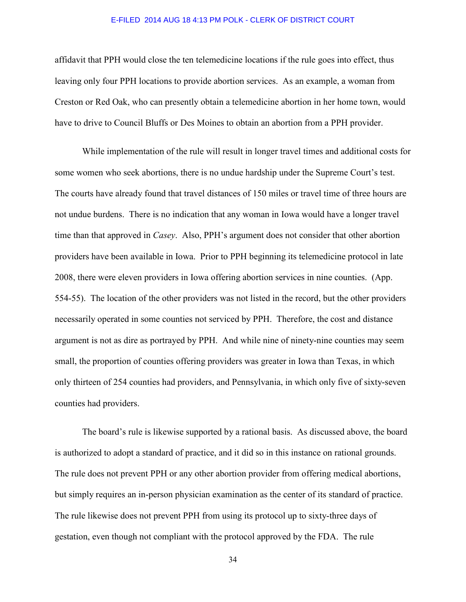affidavit that PPH would close the ten telemedicine locations if the rule goes into effect, thus leaving only four PPH locations to provide abortion services. As an example, a woman from Creston or Red Oak, who can presently obtain a telemedicine abortion in her home town, would have to drive to Council Bluffs or Des Moines to obtain an abortion from a PPH provider.

 While implementation of the rule will result in longer travel times and additional costs for some women who seek abortions, there is no undue hardship under the Supreme Court's test. The courts have already found that travel distances of 150 miles or travel time of three hours are not undue burdens. There is no indication that any woman in Iowa would have a longer travel time than that approved in *Casey*. Also, PPH's argument does not consider that other abortion providers have been available in Iowa. Prior to PPH beginning its telemedicine protocol in late 2008, there were eleven providers in Iowa offering abortion services in nine counties. (App. 554-55). The location of the other providers was not listed in the record, but the other providers necessarily operated in some counties not serviced by PPH. Therefore, the cost and distance argument is not as dire as portrayed by PPH. And while nine of ninety-nine counties may seem small, the proportion of counties offering providers was greater in Iowa than Texas, in which only thirteen of 254 counties had providers, and Pennsylvania, in which only five of sixty-seven counties had providers.

 The board's rule is likewise supported by a rational basis. As discussed above, the board is authorized to adopt a standard of practice, and it did so in this instance on rational grounds. The rule does not prevent PPH or any other abortion provider from offering medical abortions, but simply requires an in-person physician examination as the center of its standard of practice. The rule likewise does not prevent PPH from using its protocol up to sixty-three days of gestation, even though not compliant with the protocol approved by the FDA. The rule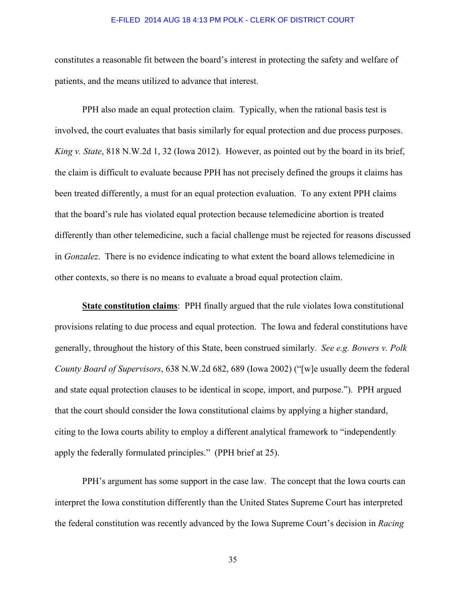constitutes a reasonable fit between the board's interest in protecting the safety and welfare of patients, and the means utilized to advance that interest.

 PPH also made an equal protection claim. Typically, when the rational basis test is involved, the court evaluates that basis similarly for equal protection and due process purposes. *King v. State*, 818 N.W.2d 1, 32 (Iowa 2012). However, as pointed out by the board in its brief, the claim is difficult to evaluate because PPH has not precisely defined the groups it claims has been treated differently, a must for an equal protection evaluation. To any extent PPH claims that the board's rule has violated equal protection because telemedicine abortion is treated differently than other telemedicine, such a facial challenge must be rejected for reasons discussed in *Gonzalez*. There is no evidence indicating to what extent the board allows telemedicine in other contexts, so there is no means to evaluate a broad equal protection claim.

**State constitution claims**: PPH finally argued that the rule violates Iowa constitutional provisions relating to due process and equal protection. The Iowa and federal constitutions have generally, throughout the history of this State, been construed similarly. *See e.g. Bowers v. Polk County Board of Supervisors*, 638 N.W.2d 682, 689 (Iowa 2002) ("[w]e usually deem the federal and state equal protection clauses to be identical in scope, import, and purpose."). PPH argued that the court should consider the Iowa constitutional claims by applying a higher standard, citing to the Iowa courts ability to employ a different analytical framework to "independently apply the federally formulated principles." (PPH brief at 25).

 PPH's argument has some support in the case law. The concept that the Iowa courts can interpret the Iowa constitution differently than the United States Supreme Court has interpreted the federal constitution was recently advanced by the Iowa Supreme Court's decision in *Racing*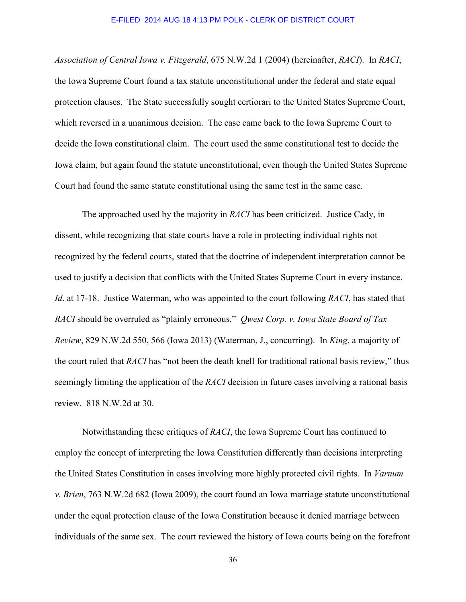*Association of Central Iowa v. Fitzgerald*, 675 N.W.2d 1 (2004) (hereinafter, *RACI*). In *RACI*, the Iowa Supreme Court found a tax statute unconstitutional under the federal and state equal protection clauses. The State successfully sought certiorari to the United States Supreme Court, which reversed in a unanimous decision. The case came back to the Iowa Supreme Court to decide the Iowa constitutional claim. The court used the same constitutional test to decide the Iowa claim, but again found the statute unconstitutional, even though the United States Supreme Court had found the same statute constitutional using the same test in the same case.

 The approached used by the majority in *RACI* has been criticized. Justice Cady, in dissent, while recognizing that state courts have a role in protecting individual rights not recognized by the federal courts, stated that the doctrine of independent interpretation cannot be used to justify a decision that conflicts with the United States Supreme Court in every instance. *Id*. at 17-18. Justice Waterman, who was appointed to the court following *RACI*, has stated that *RACI* should be overruled as "plainly erroneous." *Qwest Corp. v. Iowa State Board of Tax Review*, 829 N.W.2d 550, 566 (Iowa 2013) (Waterman, J., concurring). In *King*, a majority of the court ruled that *RACI* has "not been the death knell for traditional rational basis review," thus seemingly limiting the application of the *RACI* decision in future cases involving a rational basis review. 818 N.W.2d at 30.

 Notwithstanding these critiques of *RACI*, the Iowa Supreme Court has continued to employ the concept of interpreting the Iowa Constitution differently than decisions interpreting the United States Constitution in cases involving more highly protected civil rights. In *Varnum v. Brien*, 763 N.W.2d 682 (Iowa 2009), the court found an Iowa marriage statute unconstitutional under the equal protection clause of the Iowa Constitution because it denied marriage between individuals of the same sex. The court reviewed the history of Iowa courts being on the forefront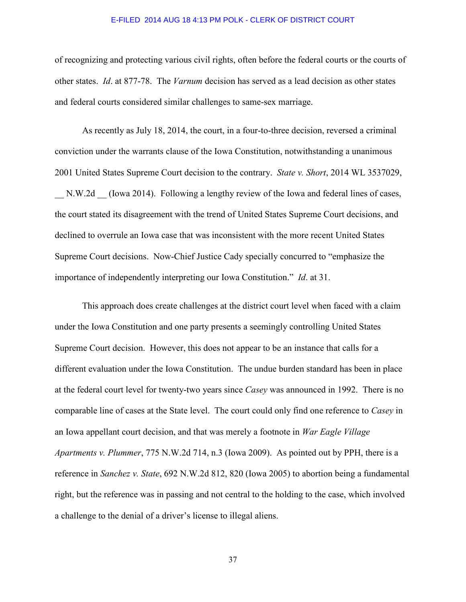of recognizing and protecting various civil rights, often before the federal courts or the courts of other states. *Id*. at 877-78. The *Varnum* decision has served as a lead decision as other states and federal courts considered similar challenges to same-sex marriage.

 As recently as July 18, 2014, the court, in a four-to-three decision, reversed a criminal conviction under the warrants clause of the Iowa Constitution, notwithstanding a unanimous 2001 United States Supreme Court decision to the contrary. *State v. Short*, 2014 WL 3537029, N.W.2d (Iowa 2014). Following a lengthy review of the Iowa and federal lines of cases, the court stated its disagreement with the trend of United States Supreme Court decisions, and declined to overrule an Iowa case that was inconsistent with the more recent United States Supreme Court decisions. Now-Chief Justice Cady specially concurred to "emphasize the importance of independently interpreting our Iowa Constitution." *Id*. at 31.

 This approach does create challenges at the district court level when faced with a claim under the Iowa Constitution and one party presents a seemingly controlling United States Supreme Court decision. However, this does not appear to be an instance that calls for a different evaluation under the Iowa Constitution. The undue burden standard has been in place at the federal court level for twenty-two years since *Casey* was announced in 1992. There is no comparable line of cases at the State level. The court could only find one reference to *Casey* in an Iowa appellant court decision, and that was merely a footnote in *War Eagle Village Apartments v. Plummer*, 775 N.W.2d 714, n.3 (Iowa 2009). As pointed out by PPH, there is a reference in *Sanchez v. State*, 692 N.W.2d 812, 820 (Iowa 2005) to abortion being a fundamental right, but the reference was in passing and not central to the holding to the case, which involved a challenge to the denial of a driver's license to illegal aliens.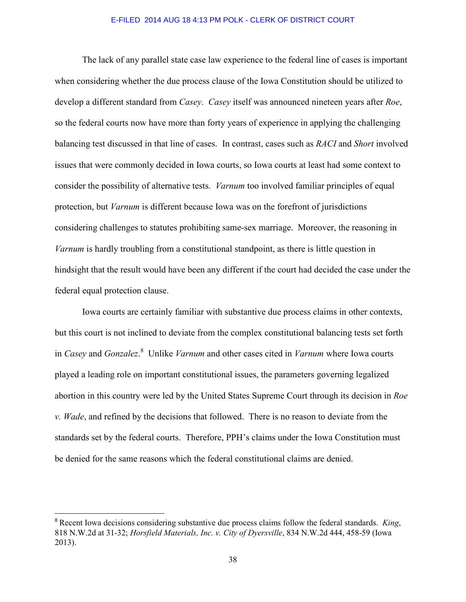The lack of any parallel state case law experience to the federal line of cases is important when considering whether the due process clause of the Iowa Constitution should be utilized to develop a different standard from *Casey*. *Casey* itself was announced nineteen years after *Roe*, so the federal courts now have more than forty years of experience in applying the challenging balancing test discussed in that line of cases. In contrast, cases such as *RACI* and *Short* involved issues that were commonly decided in Iowa courts, so Iowa courts at least had some context to consider the possibility of alternative tests. *Varnum* too involved familiar principles of equal protection, but *Varnum* is different because Iowa was on the forefront of jurisdictions considering challenges to statutes prohibiting same-sex marriage. Moreover, the reasoning in *Varnum* is hardly troubling from a constitutional standpoint, as there is little question in hindsight that the result would have been any different if the court had decided the case under the federal equal protection clause.

 Iowa courts are certainly familiar with substantive due process claims in other contexts, but this court is not inclined to deviate from the complex constitutional balancing tests set forth in *Casey* and *Gonzalez*. 8 Unlike *Varnum* and other cases cited in *Varnum* where Iowa courts played a leading role on important constitutional issues, the parameters governing legalized abortion in this country were led by the United States Supreme Court through its decision in *Roe v. Wade*, and refined by the decisions that followed. There is no reason to deviate from the standards set by the federal courts. Therefore, PPH's claims under the Iowa Constitution must be denied for the same reasons which the federal constitutional claims are denied.

l

<sup>8</sup> Recent Iowa decisions considering substantive due process claims follow the federal standards. *King*, 818 N.W.2d at 31-32; *Horsfield Materials, Inc. v. City of Dyersville*, 834 N.W.2d 444, 458-59 (Iowa 2013).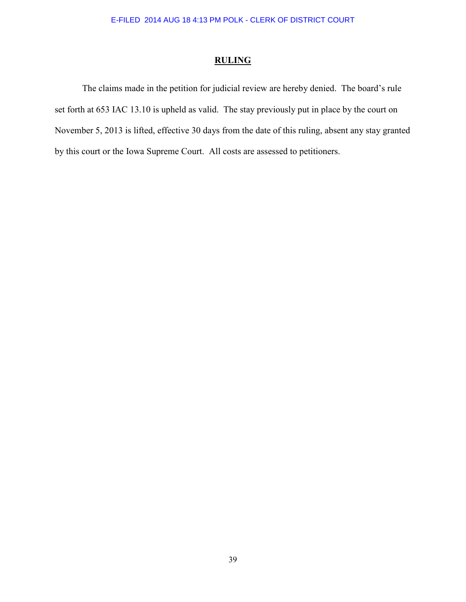# **RULING**

 The claims made in the petition for judicial review are hereby denied. The board's rule set forth at 653 IAC 13.10 is upheld as valid. The stay previously put in place by the court on November 5, 2013 is lifted, effective 30 days from the date of this ruling, absent any stay granted by this court or the Iowa Supreme Court. All costs are assessed to petitioners.